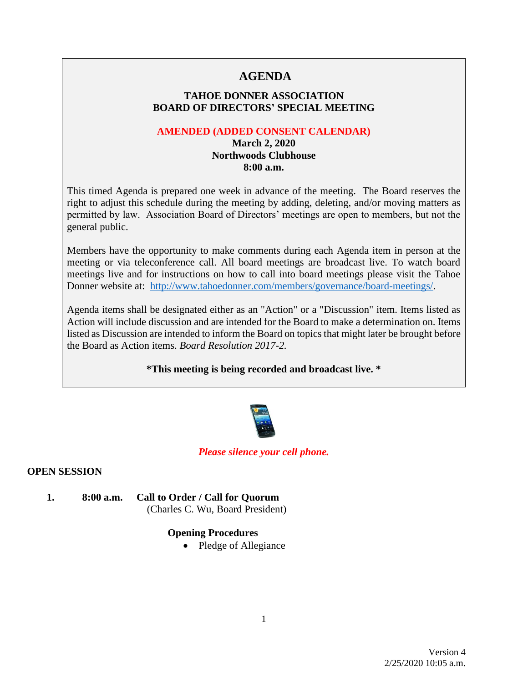# **AGENDA**

## **TAHOE DONNER ASSOCIATION BOARD OF DIRECTORS' SPECIAL MEETING**

#### **AMENDED (ADDED CONSENT CALENDAR)**

### **March 2, 2020 Northwoods Clubhouse 8:00 a.m.**

This timed Agenda is prepared one week in advance of the meeting. The Board reserves the right to adjust this schedule during the meeting by adding, deleting, and/or moving matters as permitted by law. Association Board of Directors' meetings are open to members, but not the general public.

Members have the opportunity to make comments during each Agenda item in person at the meeting or via teleconference call. All board meetings are broadcast live. To watch board meetings live and for instructions on how to call into board meetings please visit the Tahoe Donner website at: [http://www.tahoedonner.com/members/governance/board-meetings/.](http://www.tahoedonner.com/members/governance/board-meetings/)

Agenda items shall be designated either as an "Action" or a "Discussion" item. Items listed as Action will include discussion and are intended for the Board to make a determination on. Items listed as Discussion are intended to inform the Board on topics that might later be brought before the Board as Action items. *Board Resolution 2017-2.*

**\*This meeting is being recorded and broadcast live. \***



# *Please silence your cell phone.*

### **OPEN SESSION**

**1. 8:00 a.m. Call to Order / Call for Quorum** (Charles C. Wu, Board President)

### **Opening Procedures**

• Pledge of Allegiance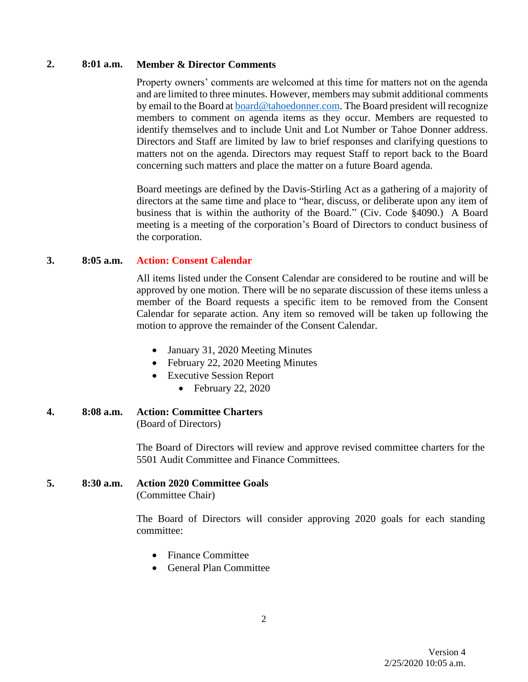#### **2. 8:01 a.m. Member & Director Comments**

Property owners' comments are welcomed at this time for matters not on the agenda and are limited to three minutes. However, members may submit additional comments by email to the Board at [board@tahoedonner.com.](mailto:board@tahoedonner.com) The Board president will recognize members to comment on agenda items as they occur. Members are requested to identify themselves and to include Unit and Lot Number or Tahoe Donner address. Directors and Staff are limited by law to brief responses and clarifying questions to matters not on the agenda. Directors may request Staff to report back to the Board concerning such matters and place the matter on a future Board agenda.

Board meetings are defined by the Davis-Stirling Act as a gathering of a majority of directors at the same time and place to "hear, discuss, or deliberate upon any item of business that is within the authority of the Board." (Civ. Code §4090.) A Board meeting is a meeting of the corporation's Board of Directors to conduct business of the corporation.

### **3. 8:05 a.m. Action: Consent Calendar**

All items listed under the Consent Calendar are considered to be routine and will be approved by one motion. There will be no separate discussion of these items unless a member of the Board requests a specific item to be removed from the Consent Calendar for separate action. Any item so removed will be taken up following the motion to approve the remainder of the Consent Calendar.

- January 31, 2020 Meeting Minutes
- February 22, 2020 Meeting Minutes
- Executive Session Report
	- February 22, 2020

# **4. 8:08 a.m. Action: Committee Charters**

(Board of Directors)

The Board of Directors will review and approve revised committee charters for the 5501 Audit Committee and Finance Committees.

# **5. 8:30 a.m. Action 2020 Committee Goals**

(Committee Chair)

The Board of Directors will consider approving 2020 goals for each standing committee:

- Finance Committee
- General Plan Committee